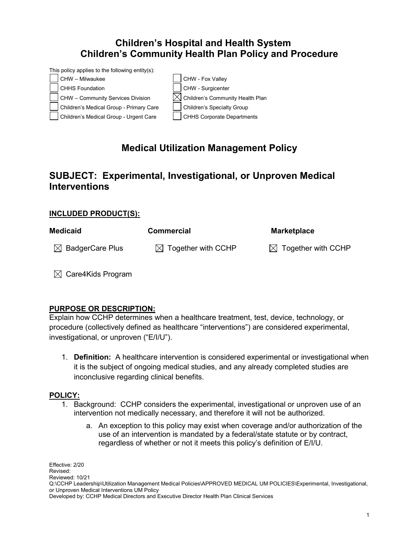## **Children's Hospital and Health System Children's Community Health Plan Policy and Procedure**



# **Medical Utilization Management Policy**

### **SUBJECT: Experimental, Investigational, or Unproven Medical Interventions**

#### **INCLUDED PRODUCT(S):**

| <b>Medicaid</b>             | <b>Commercial</b>              | <b>Marketplace</b>             |
|-----------------------------|--------------------------------|--------------------------------|
| $\boxtimes$ BadgerCare Plus | $\boxtimes$ Together with CCHP | $\boxtimes$ Together with CCHP |

 $\boxtimes$  Care4Kids Program

#### **PURPOSE OR DESCRIPTION:**

Explain how CCHP determines when a healthcare treatment, test, device, technology, or procedure (collectively defined as healthcare "interventions") are considered experimental, investigational, or unproven ("E/I/U").

1. **Definition:** A healthcare intervention is considered experimental or investigational when it is the subject of ongoing medical studies, and any already completed studies are inconclusive regarding clinical benefits.

#### **POLICY:**

- 1. Background: CCHP considers the experimental, investigational or unproven use of an intervention not medically necessary, and therefore it will not be authorized.
	- a. An exception to this policy may exist when coverage and/or authorization of the use of an intervention is mandated by a federal/state statute or by contract, regardless of whether or not it meets this policy's definition of E/I/U.